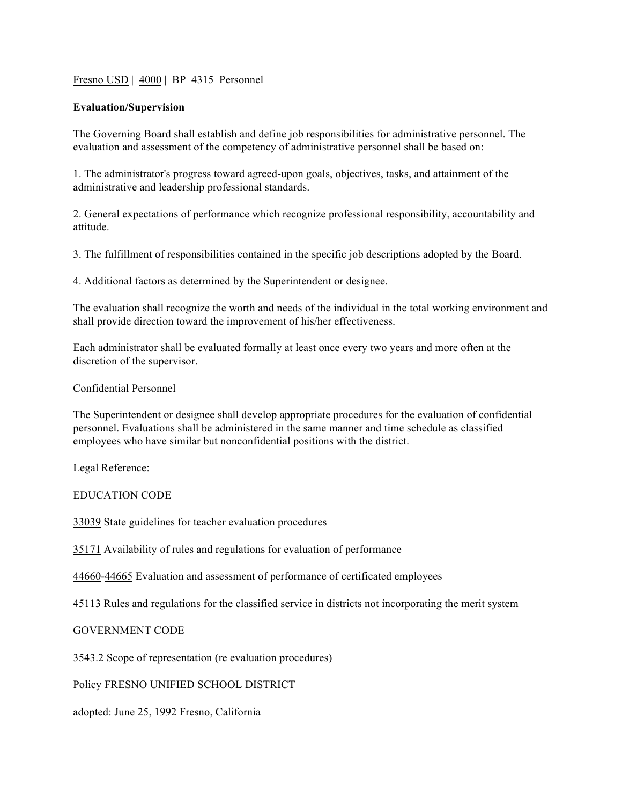## Fresno USD | 4000 | BP 4315 Personnel

## **Evaluation/Supervision**

The Governing Board shall establish and define job responsibilities for administrative personnel. The evaluation and assessment of the competency of administrative personnel shall be based on:

1. The administrator's progress toward agreed-upon goals, objectives, tasks, and attainment of the administrative and leadership professional standards.

2. General expectations of performance which recognize professional responsibility, accountability and attitude.

3. The fulfillment of responsibilities contained in the specific job descriptions adopted by the Board.

4. Additional factors as determined by the Superintendent or designee.

The evaluation shall recognize the worth and needs of the individual in the total working environment and shall provide direction toward the improvement of his/her effectiveness.

Each administrator shall be evaluated formally at least once every two years and more often at the discretion of the supervisor.

## Confidential Personnel

The Superintendent or designee shall develop appropriate procedures for the evaluation of confidential personnel. Evaluations shall be administered in the same manner and time schedule as classified employees who have similar but nonconfidential positions with the district.

Legal Reference:

EDUCATION CODE

33039 State guidelines for teacher evaluation procedures

35171 Availability of rules and regulations for evaluation of performance

44660-44665 Evaluation and assessment of performance of certificated employees

45113 Rules and regulations for the classified service in districts not incorporating the merit system

GOVERNMENT CODE

3543.2 Scope of representation (re evaluation procedures)

Policy FRESNO UNIFIED SCHOOL DISTRICT

adopted: June 25, 1992 Fresno, California